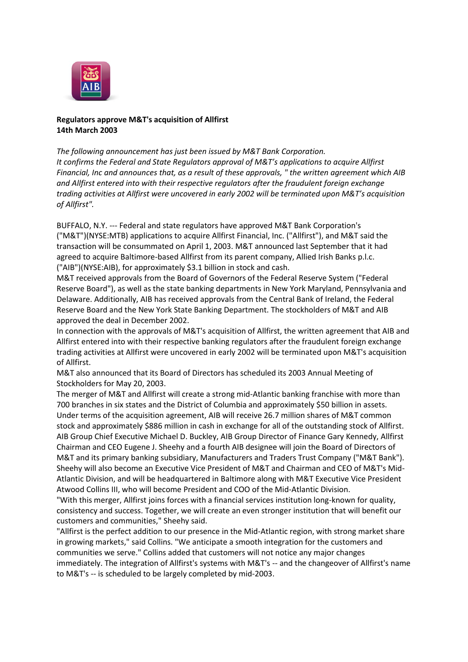

## **Regulators approve M&T's acquisition of Allfirst 14th March 2003**

*The following announcement has just been issued by M&T Bank Corporation. It confirms the Federal and State Regulators approval of M&T's applications to acquire Allfirst Financial, Inc and announces that, as a result of these approvals, " the written agreement which AIB and Allfirst entered into with their respective regulators after the fraudulent foreign exchange trading activities at Allfirst were uncovered in early 2002 will be terminated upon M&T's acquisition of Allfirst".*

BUFFALO, N.Y. --- Federal and state regulators have approved M&T Bank Corporation's ("M&T")(NYSE:MTB) applications to acquire Allfirst Financial, Inc. ("Allfirst"), and M&T said the transaction will be consummated on April 1, 2003. M&T announced last September that it had agreed to acquire Baltimore-based Allfirst from its parent company, Allied Irish Banks p.l.c. ("AIB")(NYSE:AIB), for approximately \$3.1 billion in stock and cash.

M&T received approvals from the Board of Governors of the Federal Reserve System ("Federal Reserve Board"), as well as the state banking departments in New York Maryland, Pennsylvania and Delaware. Additionally, AIB has received approvals from the Central Bank of Ireland, the Federal Reserve Board and the New York State Banking Department. The stockholders of M&T and AIB approved the deal in December 2002.

In connection with the approvals of M&T's acquisition of Allfirst, the written agreement that AIB and Allfirst entered into with their respective banking regulators after the fraudulent foreign exchange trading activities at Allfirst were uncovered in early 2002 will be terminated upon M&T's acquisition of Allfirst.

M&T also announced that its Board of Directors has scheduled its 2003 Annual Meeting of Stockholders for May 20, 2003.

The merger of M&T and Allfirst will create a strong mid-Atlantic banking franchise with more than 700 branches in six states and the District of Columbia and approximately \$50 billion in assets. Under terms of the acquisition agreement, AIB will receive 26.7 million shares of M&T common stock and approximately \$886 million in cash in exchange for all of the outstanding stock of Allfirst. AIB Group Chief Executive Michael D. Buckley, AIB Group Director of Finance Gary Kennedy, Allfirst Chairman and CEO Eugene J. Sheehy and a fourth AIB designee will join the Board of Directors of M&T and its primary banking subsidiary, Manufacturers and Traders Trust Company ("M&T Bank"). Sheehy will also become an Executive Vice President of M&T and Chairman and CEO of M&T's Mid-Atlantic Division, and will be headquartered in Baltimore along with M&T Executive Vice President Atwood Collins III, who will become President and COO of the Mid-Atlantic Division.

"With this merger, Allfirst joins forces with a financial services institution long-known for quality, consistency and success. Together, we will create an even stronger institution that will benefit our customers and communities," Sheehy said.

"Allfirst is the perfect addition to our presence in the Mid-Atlantic region, with strong market share in growing markets," said Collins. "We anticipate a smooth integration for the customers and communities we serve." Collins added that customers will not notice any major changes immediately. The integration of Allfirst's systems with M&T's -- and the changeover of Allfirst's name to M&T's -- is scheduled to be largely completed by mid-2003.